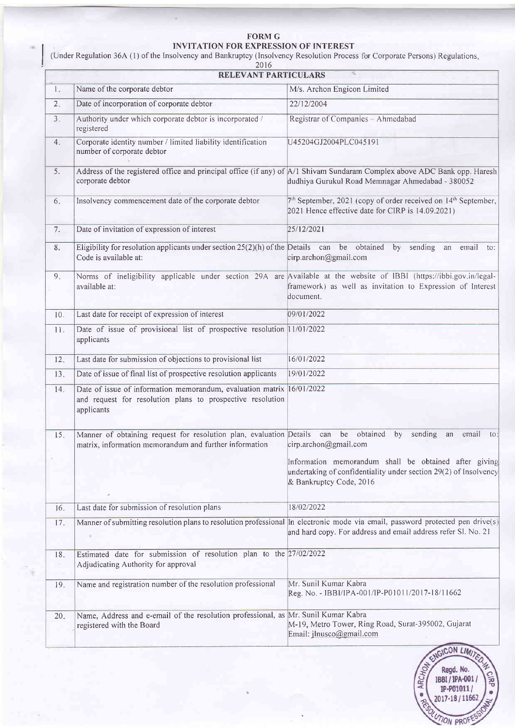## FORM G INVITATION FOR EXPRESSION OF INTEREST

Under Regulation 36A (1) of the Insolvency and Bankruptcy (Insolvency Resolution Process for Corporate Persons) Regulations 2016

| 2016<br>RELEVANT PARTICULARS               |                                                                                                                                                   |                                                                                                                                                                                                                                               |
|--------------------------------------------|---------------------------------------------------------------------------------------------------------------------------------------------------|-----------------------------------------------------------------------------------------------------------------------------------------------------------------------------------------------------------------------------------------------|
| Name of the corporate debtor<br>$l_{\ast}$ |                                                                                                                                                   | M/s. Archon Engicon Limited                                                                                                                                                                                                                   |
| 2 <sub>1</sub>                             | Date of incorporation of corporate debtor                                                                                                         | 22/12/2004                                                                                                                                                                                                                                    |
| 3.                                         | Authority under which corporate debtor is incorporated /<br>registered                                                                            | Registrar of Companies - Ahmedabad                                                                                                                                                                                                            |
| 4.                                         | Corporate identity number / limited liability identification<br>number of corporate debtor                                                        | U45204GJ2004PLC045191                                                                                                                                                                                                                         |
| 5.                                         | corporate debtor                                                                                                                                  | Address of the registered office and principal office (if any) of A/1 Shivam Sundaram Complex above ADC Bank opp. Haresh<br>dudhiya Gurukul Road Memnagar Ahmedabad - 380052                                                                  |
| 6.                                         | Insolvency commencement date of the corporate debtor                                                                                              | 7th September, 2021 (copy of order received on 14th September,<br>2021 Hence effective date for CIRP is 14.09.2021)                                                                                                                           |
| 7.                                         | Date of invitation of expression of interest                                                                                                      | 25/12/2021                                                                                                                                                                                                                                    |
| 8.                                         | Eligibility for resolution applicants under section $25(2)(h)$ of the Details can be obtained by sending<br>Code is available at:                 | an<br>email<br>to:<br>cirp.archon@gmail.com                                                                                                                                                                                                   |
| 9.                                         | available at:                                                                                                                                     | Norms of ineligibility applicable under section 29A are Available at the website of IBBI (https://ibbi.gov.in/legal-<br>framework) as well as invitation to Expression of Interest<br>document.                                               |
| 10.                                        | Last date for receipt of expression of interest                                                                                                   | 09/01/2022                                                                                                                                                                                                                                    |
| 11.                                        | Date of issue of provisional list of prospective resolution 11/01/2022<br>applicants                                                              |                                                                                                                                                                                                                                               |
| 12.                                        | Last date for submission of objections to provisional list                                                                                        | 16/01/2022                                                                                                                                                                                                                                    |
| 13.                                        | Date of issue of final list of prospective resolution applicants                                                                                  | 19/01/2022                                                                                                                                                                                                                                    |
| 14.                                        | Date of issue of information memorandum, evaluation matrix 16/01/2022<br>and request for resolution plans to prospective resolution<br>applicants |                                                                                                                                                                                                                                               |
| 15.                                        | Manner of obtaining request for resolution plan, evaluation Details<br>matrix, information memorandum and further information                     | obtained<br>can<br>be<br>by<br>sending<br>email<br>an<br>to:<br>cirp.archon@gmail.com<br>Information memorandum shall be obtained after giving<br>undertaking of confidentiality under section 29(2) of Insolvency<br>& Bankruptcy Code, 2016 |
| 16.                                        | Last date for submission of resolution plans                                                                                                      | 18/02/2022                                                                                                                                                                                                                                    |
| 17.                                        | $\overline{\mathcal{S}}$                                                                                                                          | Manner of submitting resolution plans to resolution professional $\ $ n electronic mode via email, password protected pen drive(s)<br>and hard copy. For address and email address refer Sl. No. 21                                           |
| 18.<br>×<br>$\sim$                         | Estimated date for submission of resolution plan to the 27/02/2022<br>Adjudicating Authority for approval                                         |                                                                                                                                                                                                                                               |
| 19.                                        | Name and registration number of the resolution professional                                                                                       | Mr. Sunil Kumar Kabra<br>Reg. No. - IBBI/IPA-001/IP-P01011/2017-18/11662                                                                                                                                                                      |
| 20.                                        | Name, Address and e-email of the resolution professional, as<br>registered with the Board                                                         | Mr. Sunil Kumar Kabra<br>M-19, Metro Tower, Ring Road, Surat-395002, Gujarat<br>Email: ilnusco@gmail.com                                                                                                                                      |